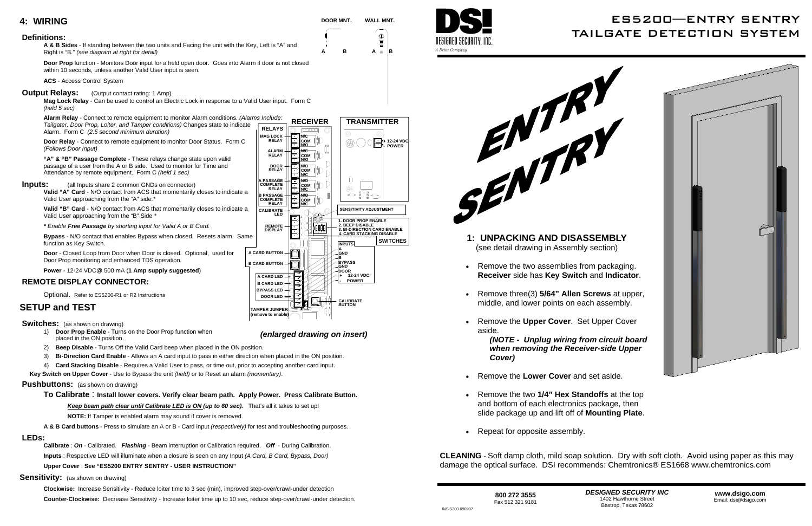200K

1234

 $\bigcap$ 

**MAG LOCK RELAY**

**ALARM RELAY DOORRELAY**

**REMOTE DISPLAY**

**BYPASS LEDA CARD LED B CARD LED**

**A PASSAGE COMPLETERELAY**

**A CARD BUTTONB CARD BUTTON**

**CALIBRATE LED**

**B PASSAGECOMPLETE RELAY**

**B**

**AGND**

**GND - POWER DOOR BYPASSGND**

**DOOR LED**

**CALIBRATE BUTTON**





**3. BI-DIRECTION CARD ENABLE 1. DOOR PROP ENABLE 2. BEEP DISABLE4. CARD STACKING DISABLE**

**N/O N/C COM**

**N/O N/CCOM**

**N/C N/OCOM**

IJ

F

ITT. € ╔ FTTT.

tai to.

**N/C N/OCOM**

**N/C COM N/O**

- Remove the **Lower Cover** and set aside.
- Remove the two **1/4" Hex Standoffs** at the top and bottom of each electronics package, then slide package up and lift off of **Mounting Plate**.
- Repeat for opposite assembly.

**INPUTS**

 $\bigcap$ 



- 
- 
- 
- 

### **4: WIRING**

#### **Definitions:**

- **Inputs:** (all Inputs share 2 common GNDs on connector)
	- **Valid "A" Card** N/O contact from ACS that momentarily closes to indicate a Valid User approaching from the "A" side.*\**

**A & B Sides** - If standing between the two units and Facing the unit with the Key, Left is "A" and Right is "B." *(see diagram at right for detail)*

**Door Prop** function - Monitors Door input for a held open door. Goes into Alarm if door is not closed within 10 seconds, unless another Valid User input is seen.

**ACS** - Access Control System

#### **Output Relays:** (Output contact rating: 1 Amp)

**Mag Lock Relay** - Can be used to control an Electric Lock in response to a Valid User input. Form C *(held 5 sec)*

**Door Relay** - Connect to remote equipment to monitor Door Status. Form C *(Follows Door Input)*

**"A" & "B" Passage Complete** - These relays change state upon valid passage of a user from the A or B side. Used to monitor for Time and Attendance by remote equipment. Form C *(held 1 sec)*

> **CLEANING** - Soft damp cloth, mild soap solution. Dry with soft cloth. Avoid using paper as this may damage the optical surface. DSI recommends: Chemtronics® ES1668 www.chemtronics.com

**Valid "B" Card** - N/O contact from ACS that momentarily closes to indicate a Valid User approaching from the "B" Side *\**

**12 VDC POWER + 12-24 VDC** 

*\* Enable Free Passage by shorting input for Valid A or B Card.* 

**Bypass** - N/O contact that enables Bypass when closed. Resets alarm. Same function as Key Switch.

**Door** - Closed Loop from Door when Door is closed. Optional, used for Door Prop monitoring and enhanced TDS operation.

**Power** - 12-24 VDC@ 500 mA (**1 Amp supply suggested**)

#### **REMOTE DISPLAY CONNECTOR:**

Optional. Refer to ES5200-R1 or R2 Instructions

### **SETUP and TEST**

**Switches:** (as shown on drawing)

- 1) **Door Prop Enable** Turns on the Door Prop function when placed in the ON position.
- 2) **Beep Disable** Turns Off the Valid Card beep when placed in the ON position.
- 3) **Bi-Direction Card Enable** Allows an A card input to pass in either direction when placed in the ON position.
- 4) **Card Stacking Disable** Requires a Valid User to pass, or time out, prior to accepting another card input.

**Alarm Relay** - Connect to remote equipment to monitor Alarm conditions. *(Alarms Include: Tailgater, Door Prop, Loiter, and Tamper conditions)* Changes state to indicate Alarm. Form C *(2.5 second minimum duration)*  **RELAYS** 

 **Key Switch on Upper Cover** - Use to Bypass the unit *(held)* or to Reset an alarm *(momentary)*.

#### **Pushbuttons:** (as shown on drawing)

**To Calibrate** : **Install lower covers. Verify clear beam path. Apply Power. Press Calibrate Button.** 

*Keep beam path clear until Calibrate LED is ON (up to 60 sec).* That's all it takes to set up!

**NOTE:** If Tamper is enabled alarm may sound if cover is removed.

**A & B Card buttons** - Press to simulate an A or B - Card input *(respectively)* for test and troubleshooting purposes.

#### **LEDs:**

**Calibrate** : *On* - Calibrated. *Flashing* - Beam interruption or Calibration required. *Off* - During Calibration. **Inputs** : Respective LED will illuminate when a closure is seen on any Input *(A Card, B Card, Bypass, Door)*

**Upper Cover** : **See "ES5200 ENTRY SENTRY - USER INSTRUCTION"** 

#### **Sensitivity:** (as shown on drawing)

**Clockwise:** Increase Sensitivity - Reduce loiter time to 3 sec (min), improved step-over/crawl-under detection **Counter-Clockwise:** Decrease Sensitivity - Increase loiter time up to 10 sec, reduce step-over/crawl-under detection.



**SWITCHES** 

 **+ 12-24 VDC - POWER** 

**SENSITIVITY ADJUSTMENT** 

 $\Theta$ 

*(enlarged drawing on insert)*

**TAMPER JUMPER (remove to enable)** 

# ES5200—ENTRY SENTRY TAILGATE DETECTION SYSTEM